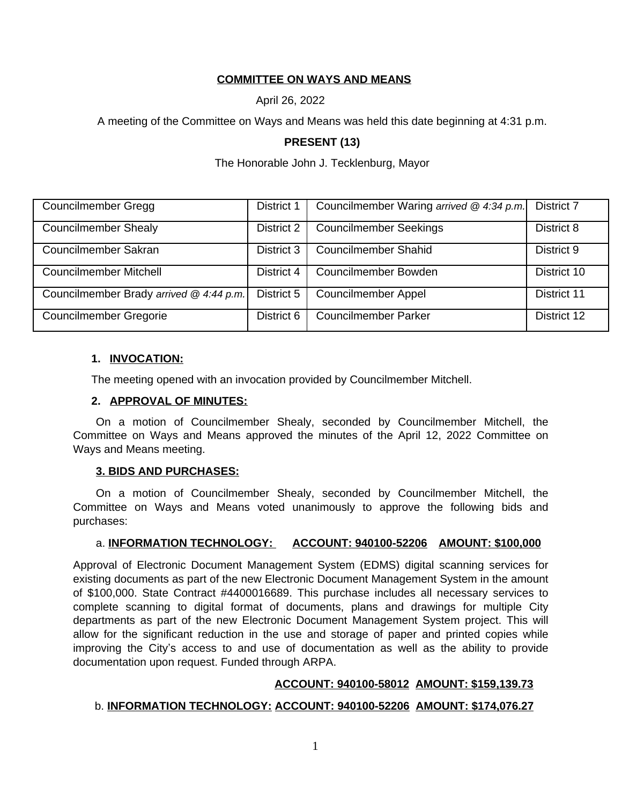# **COMMITTEE ON WAYS AND MEANS**

April 26, 2022

A meeting of the Committee on Ways and Means was held this date beginning at 4:31 p.m.

# **PRESENT (13)**

The Honorable John J. Tecklenburg, Mayor

| Councilmember Gregg                     | District 1 | Councilmember Waring arrived $@$ 4:34 p.m. | <b>District 7</b> |
|-----------------------------------------|------------|--------------------------------------------|-------------------|
| <b>Councilmember Shealy</b>             | District 2 | <b>Councilmember Seekings</b>              | District 8        |
| Councilmember Sakran                    | District 3 | <b>Councilmember Shahid</b>                | District 9        |
| <b>Councilmember Mitchell</b>           | District 4 | Councilmember Bowden                       | District 10       |
| Councilmember Brady arrived @ 4:44 p.m. | District 5 | <b>Councilmember Appel</b>                 | District 11       |
| <b>Councilmember Gregorie</b>           | District 6 | <b>Councilmember Parker</b>                | District 12       |

## **1. INVOCATION:**

The meeting opened with an invocation provided by Councilmember Mitchell.

## **2. APPROVAL OF MINUTES:**

On a motion of Councilmember Shealy, seconded by Councilmember Mitchell, the Committee on Ways and Means approved the minutes of the April 12, 2022 Committee on Ways and Means meeting.

### **3. BIDS AND PURCHASES:**

On a motion of Councilmember Shealy, seconded by Councilmember Mitchell, the Committee on Ways and Means voted unanimously to approve the following bids and purchases:

### a. **INFORMATION TECHNOLOGY: ACCOUNT: 940100-52206 AMOUNT: \$100,000**

Approval of Electronic Document Management System (EDMS) digital scanning services for existing documents as part of the new Electronic Document Management System in the amount of \$100,000. State Contract #4400016689. This purchase includes all necessary services to complete scanning to digital format of documents, plans and drawings for multiple City departments as part of the new Electronic Document Management System project. This will allow for the significant reduction in the use and storage of paper and printed copies while improving the City's access to and use of documentation as well as the ability to provide documentation upon request. Funded through ARPA.

# **ACCOUNT: 940100-58012 AMOUNT: \$159,139.73**

### b. **INFORMATION TECHNOLOGY: ACCOUNT: 940100-52206 AMOUNT: \$174,076.27**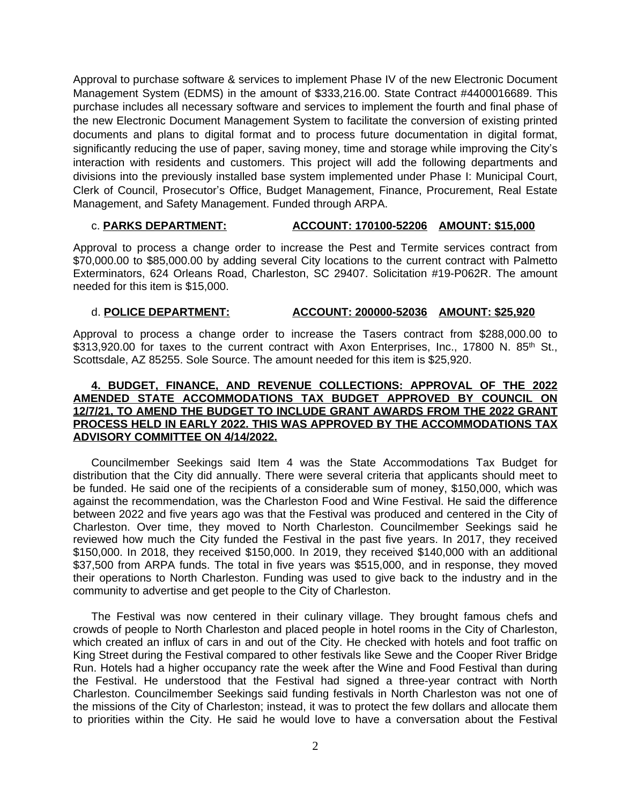Approval to purchase software & services to implement Phase IV of the new Electronic Document Management System (EDMS) in the amount of \$333,216.00. State Contract #4400016689. This purchase includes all necessary software and services to implement the fourth and final phase of the new Electronic Document Management System to facilitate the conversion of existing printed documents and plans to digital format and to process future documentation in digital format, significantly reducing the use of paper, saving money, time and storage while improving the City's interaction with residents and customers. This project will add the following departments and divisions into the previously installed base system implemented under Phase I: Municipal Court, Clerk of Council, Prosecutor's Office, Budget Management, Finance, Procurement, Real Estate Management, and Safety Management. Funded through ARPA.

## c. **PARKS DEPARTMENT: ACCOUNT: 170100-52206 AMOUNT: \$15,000**

Approval to process a change order to increase the Pest and Termite services contract from \$70,000.00 to \$85,000.00 by adding several City locations to the current contract with Palmetto Exterminators, 624 Orleans Road, Charleston, SC 29407. Solicitation #19-P062R. The amount needed for this item is \$15,000.

### d. **POLICE DEPARTMENT: ACCOUNT: 200000-52036 AMOUNT: \$25,920**

Approval to process a change order to increase the Tasers contract from \$288,000.00 to \$313,920.00 for taxes to the current contract with Axon Enterprises, Inc., 17800 N. 85<sup>th</sup> St., Scottsdale, AZ 85255. Sole Source. The amount needed for this item is \$25,920.

## **4. BUDGET, FINANCE, AND REVENUE COLLECTIONS: APPROVAL OF THE 2022 AMENDED STATE ACCOMMODATIONS TAX BUDGET APPROVED BY COUNCIL ON 12/7/21, TO AMEND THE BUDGET TO INCLUDE GRANT AWARDS FROM THE 2022 GRANT PROCESS HELD IN EARLY 2022. THIS WAS APPROVED BY THE ACCOMMODATIONS TAX ADVISORY COMMITTEE ON 4/14/2022.**

Councilmember Seekings said Item 4 was the State Accommodations Tax Budget for distribution that the City did annually. There were several criteria that applicants should meet to be funded. He said one of the recipients of a considerable sum of money, \$150,000, which was against the recommendation, was the Charleston Food and Wine Festival. He said the difference between 2022 and five years ago was that the Festival was produced and centered in the City of Charleston. Over time, they moved to North Charleston. Councilmember Seekings said he reviewed how much the City funded the Festival in the past five years. In 2017, they received \$150,000. In 2018, they received \$150,000. In 2019, they received \$140,000 with an additional \$37,500 from ARPA funds. The total in five years was \$515,000, and in response, they moved their operations to North Charleston. Funding was used to give back to the industry and in the community to advertise and get people to the City of Charleston.

The Festival was now centered in their culinary village. They brought famous chefs and crowds of people to North Charleston and placed people in hotel rooms in the City of Charleston, which created an influx of cars in and out of the City. He checked with hotels and foot traffic on King Street during the Festival compared to other festivals like Sewe and the Cooper River Bridge Run. Hotels had a higher occupancy rate the week after the Wine and Food Festival than during the Festival. He understood that the Festival had signed a three-year contract with North Charleston. Councilmember Seekings said funding festivals in North Charleston was not one of the missions of the City of Charleston; instead, it was to protect the few dollars and allocate them to priorities within the City. He said he would love to have a conversation about the Festival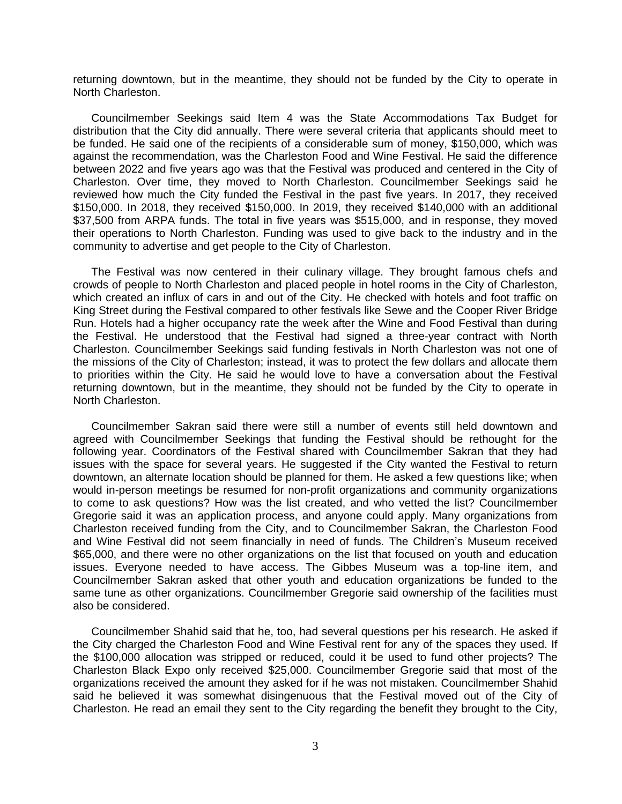returning downtown, but in the meantime, they should not be funded by the City to operate in North Charleston.

Councilmember Seekings said Item 4 was the State Accommodations Tax Budget for distribution that the City did annually. There were several criteria that applicants should meet to be funded. He said one of the recipients of a considerable sum of money, \$150,000, which was against the recommendation, was the Charleston Food and Wine Festival. He said the difference between 2022 and five years ago was that the Festival was produced and centered in the City of Charleston. Over time, they moved to North Charleston. Councilmember Seekings said he reviewed how much the City funded the Festival in the past five years. In 2017, they received \$150,000. In 2018, they received \$150,000. In 2019, they received \$140,000 with an additional \$37,500 from ARPA funds. The total in five years was \$515,000, and in response, they moved their operations to North Charleston. Funding was used to give back to the industry and in the community to advertise and get people to the City of Charleston.

The Festival was now centered in their culinary village. They brought famous chefs and crowds of people to North Charleston and placed people in hotel rooms in the City of Charleston, which created an influx of cars in and out of the City. He checked with hotels and foot traffic on King Street during the Festival compared to other festivals like Sewe and the Cooper River Bridge Run. Hotels had a higher occupancy rate the week after the Wine and Food Festival than during the Festival. He understood that the Festival had signed a three-year contract with North Charleston. Councilmember Seekings said funding festivals in North Charleston was not one of the missions of the City of Charleston; instead, it was to protect the few dollars and allocate them to priorities within the City. He said he would love to have a conversation about the Festival returning downtown, but in the meantime, they should not be funded by the City to operate in North Charleston.

Councilmember Sakran said there were still a number of events still held downtown and agreed with Councilmember Seekings that funding the Festival should be rethought for the following year. Coordinators of the Festival shared with Councilmember Sakran that they had issues with the space for several years. He suggested if the City wanted the Festival to return downtown, an alternate location should be planned for them. He asked a few questions like; when would in-person meetings be resumed for non-profit organizations and community organizations to come to ask questions? How was the list created, and who vetted the list? Councilmember Gregorie said it was an application process, and anyone could apply. Many organizations from Charleston received funding from the City, and to Councilmember Sakran, the Charleston Food and Wine Festival did not seem financially in need of funds. The Children's Museum received \$65,000, and there were no other organizations on the list that focused on youth and education issues. Everyone needed to have access. The Gibbes Museum was a top-line item, and Councilmember Sakran asked that other youth and education organizations be funded to the same tune as other organizations. Councilmember Gregorie said ownership of the facilities must also be considered.

Councilmember Shahid said that he, too, had several questions per his research. He asked if the City charged the Charleston Food and Wine Festival rent for any of the spaces they used. If the \$100,000 allocation was stripped or reduced, could it be used to fund other projects? The Charleston Black Expo only received \$25,000. Councilmember Gregorie said that most of the organizations received the amount they asked for if he was not mistaken. Councilmember Shahid said he believed it was somewhat disingenuous that the Festival moved out of the City of Charleston. He read an email they sent to the City regarding the benefit they brought to the City,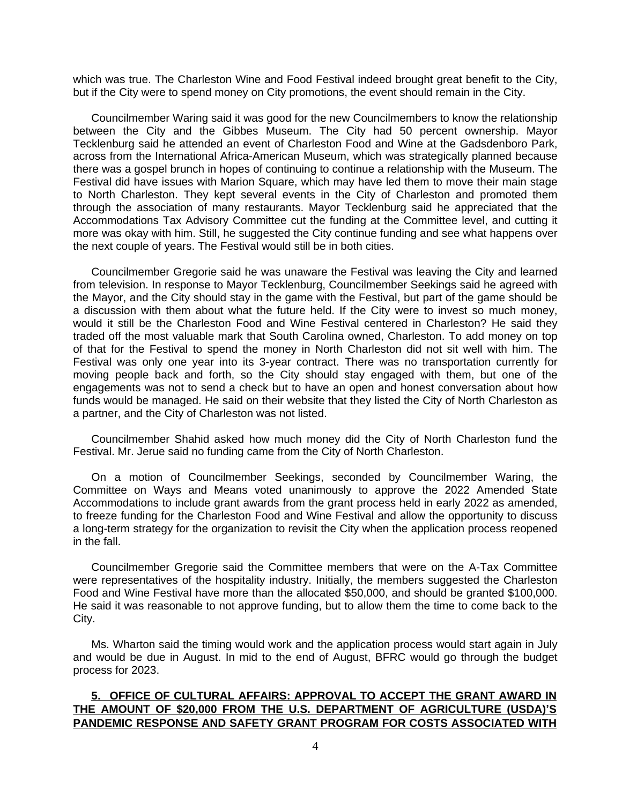which was true. The Charleston Wine and Food Festival indeed brought great benefit to the City, but if the City were to spend money on City promotions, the event should remain in the City.

Councilmember Waring said it was good for the new Councilmembers to know the relationship between the City and the Gibbes Museum. The City had 50 percent ownership. Mayor Tecklenburg said he attended an event of Charleston Food and Wine at the Gadsdenboro Park, across from the International Africa-American Museum, which was strategically planned because there was a gospel brunch in hopes of continuing to continue a relationship with the Museum. The Festival did have issues with Marion Square, which may have led them to move their main stage to North Charleston. They kept several events in the City of Charleston and promoted them through the association of many restaurants. Mayor Tecklenburg said he appreciated that the Accommodations Tax Advisory Committee cut the funding at the Committee level, and cutting it more was okay with him. Still, he suggested the City continue funding and see what happens over the next couple of years. The Festival would still be in both cities.

Councilmember Gregorie said he was unaware the Festival was leaving the City and learned from television. In response to Mayor Tecklenburg, Councilmember Seekings said he agreed with the Mayor, and the City should stay in the game with the Festival, but part of the game should be a discussion with them about what the future held. If the City were to invest so much money, would it still be the Charleston Food and Wine Festival centered in Charleston? He said they traded off the most valuable mark that South Carolina owned, Charleston. To add money on top of that for the Festival to spend the money in North Charleston did not sit well with him. The Festival was only one year into its 3-year contract. There was no transportation currently for moving people back and forth, so the City should stay engaged with them, but one of the engagements was not to send a check but to have an open and honest conversation about how funds would be managed. He said on their website that they listed the City of North Charleston as a partner, and the City of Charleston was not listed.

Councilmember Shahid asked how much money did the City of North Charleston fund the Festival. Mr. Jerue said no funding came from the City of North Charleston.

On a motion of Councilmember Seekings, seconded by Councilmember Waring, the Committee on Ways and Means voted unanimously to approve the 2022 Amended State Accommodations to include grant awards from the grant process held in early 2022 as amended, to freeze funding for the Charleston Food and Wine Festival and allow the opportunity to discuss a long-term strategy for the organization to revisit the City when the application process reopened in the fall.

Councilmember Gregorie said the Committee members that were on the A-Tax Committee were representatives of the hospitality industry. Initially, the members suggested the Charleston Food and Wine Festival have more than the allocated \$50,000, and should be granted \$100,000. He said it was reasonable to not approve funding, but to allow them the time to come back to the City.

Ms. Wharton said the timing would work and the application process would start again in July and would be due in August. In mid to the end of August, BFRC would go through the budget process for 2023.

# **5. OFFICE OF CULTURAL AFFAIRS: APPROVAL TO ACCEPT THE GRANT AWARD IN THE AMOUNT OF \$20,000 FROM THE U.S. DEPARTMENT OF AGRICULTURE (USDA)'S PANDEMIC RESPONSE AND SAFETY GRANT PROGRAM FOR COSTS ASSOCIATED WITH**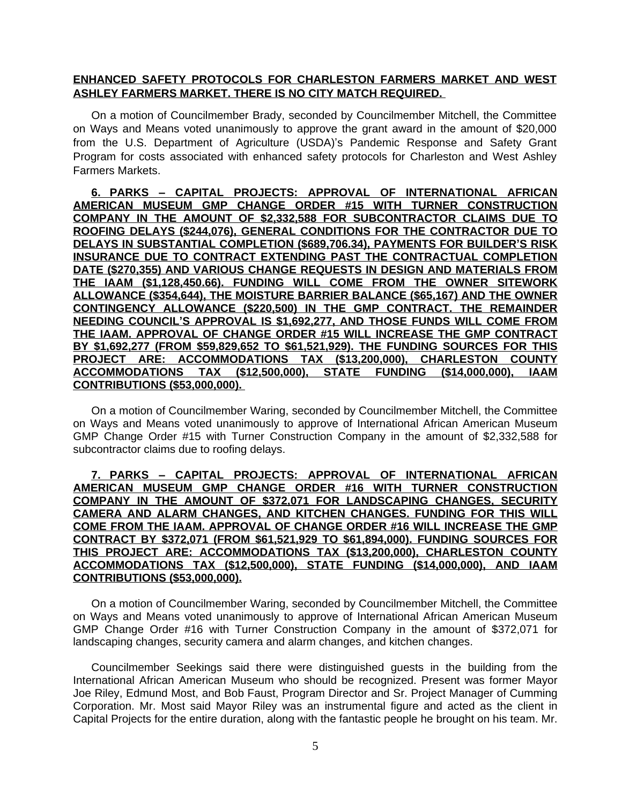## **ENHANCED SAFETY PROTOCOLS FOR CHARLESTON FARMERS MARKET AND WEST ASHLEY FARMERS MARKET. THERE IS NO CITY MATCH REQUIRED.**

On a motion of Councilmember Brady, seconded by Councilmember Mitchell, the Committee on Ways and Means voted unanimously to approve the grant award in the amount of \$20,000 from the U.S. Department of Agriculture (USDA)'s Pandemic Response and Safety Grant Program for costs associated with enhanced safety protocols for Charleston and West Ashley Farmers Markets.

**6. PARKS – CAPITAL PROJECTS: APPROVAL OF INTERNATIONAL AFRICAN AMERICAN MUSEUM GMP CHANGE ORDER #15 WITH TURNER CONSTRUCTION COMPANY IN THE AMOUNT OF \$2,332,588 FOR SUBCONTRACTOR CLAIMS DUE TO ROOFING DELAYS (\$244,076), GENERAL CONDITIONS FOR THE CONTRACTOR DUE TO DELAYS IN SUBSTANTIAL COMPLETION (\$689,706.34), PAYMENTS FOR BUILDER'S RISK INSURANCE DUE TO CONTRACT EXTENDING PAST THE CONTRACTUAL COMPLETION DATE (\$270,355) AND VARIOUS CHANGE REQUESTS IN DESIGN AND MATERIALS FROM THE IAAM (\$1,128,450.66). FUNDING WILL COME FROM THE OWNER SITEWORK ALLOWANCE (\$354,644), THE MOISTURE BARRIER BALANCE (\$65,167) AND THE OWNER CONTINGENCY ALLOWANCE (\$220,500) IN THE GMP CONTRACT. THE REMAINDER NEEDING COUNCIL'S APPROVAL IS \$1,692,277, AND THOSE FUNDS WILL COME FROM THE IAAM. APPROVAL OF CHANGE ORDER #15 WILL INCREASE THE GMP CONTRACT BY \$1,692,277 (FROM \$59,829,652 TO \$61,521,929). THE FUNDING SOURCES FOR THIS PROJECT ARE: ACCOMMODATIONS TAX (\$13,200,000), CHARLESTON COUNTY ACCOMMODATIONS TAX (\$12,500,000), STATE FUNDING (\$14,000,000), IAAM CONTRIBUTIONS (\$53,000,000).** 

On a motion of Councilmember Waring, seconded by Councilmember Mitchell, the Committee on Ways and Means voted unanimously to approve of International African American Museum GMP Change Order #15 with Turner Construction Company in the amount of \$2,332,588 for subcontractor claims due to roofing delays.

**7. PARKS – CAPITAL PROJECTS: APPROVAL OF INTERNATIONAL AFRICAN AMERICAN MUSEUM GMP CHANGE ORDER #16 WITH TURNER CONSTRUCTION COMPANY IN THE AMOUNT OF \$372,071 FOR LANDSCAPING CHANGES, SECURITY CAMERA AND ALARM CHANGES, AND KITCHEN CHANGES. FUNDING FOR THIS WILL COME FROM THE IAAM. APPROVAL OF CHANGE ORDER #16 WILL INCREASE THE GMP CONTRACT BY \$372,071 (FROM \$61,521,929 TO \$61,894,000). FUNDING SOURCES FOR THIS PROJECT ARE: ACCOMMODATIONS TAX (\$13,200,000), CHARLESTON COUNTY ACCOMMODATIONS TAX (\$12,500,000), STATE FUNDING (\$14,000,000), AND IAAM CONTRIBUTIONS (\$53,000,000).**

On a motion of Councilmember Waring, seconded by Councilmember Mitchell, the Committee on Ways and Means voted unanimously to approve of International African American Museum GMP Change Order #16 with Turner Construction Company in the amount of \$372,071 for landscaping changes, security camera and alarm changes, and kitchen changes.

Councilmember Seekings said there were distinguished guests in the building from the International African American Museum who should be recognized. Present was former Mayor Joe Riley, Edmund Most, and Bob Faust, Program Director and Sr. Project Manager of Cumming Corporation. Mr. Most said Mayor Riley was an instrumental figure and acted as the client in Capital Projects for the entire duration, along with the fantastic people he brought on his team. Mr.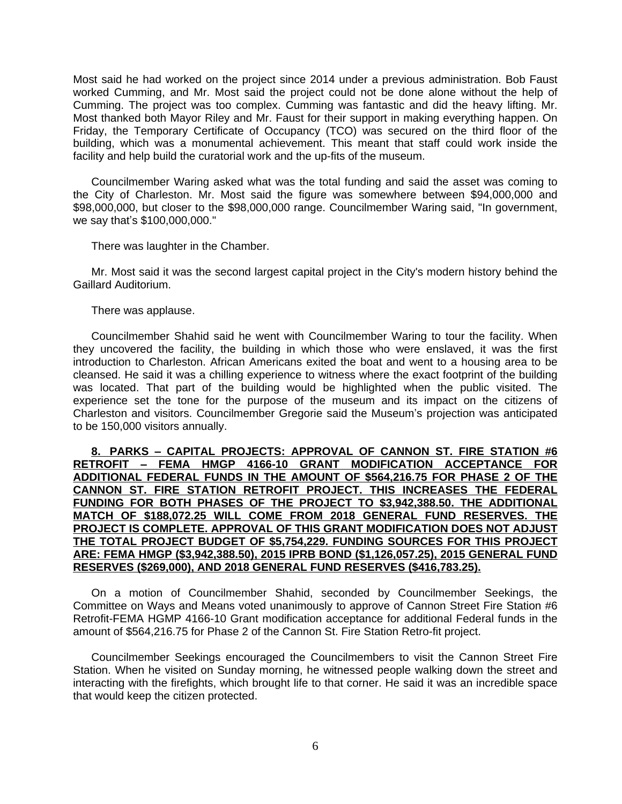Most said he had worked on the project since 2014 under a previous administration. Bob Faust worked Cumming, and Mr. Most said the project could not be done alone without the help of Cumming. The project was too complex. Cumming was fantastic and did the heavy lifting. Mr. Most thanked both Mayor Riley and Mr. Faust for their support in making everything happen. On Friday, the Temporary Certificate of Occupancy (TCO) was secured on the third floor of the building, which was a monumental achievement. This meant that staff could work inside the facility and help build the curatorial work and the up-fits of the museum.

Councilmember Waring asked what was the total funding and said the asset was coming to the City of Charleston. Mr. Most said the figure was somewhere between \$94,000,000 and \$98,000,000, but closer to the \$98,000,000 range. Councilmember Waring said, "In government, we say that's \$100,000,000."

There was laughter in the Chamber.

Mr. Most said it was the second largest capital project in the City's modern history behind the Gaillard Auditorium.

There was applause.

Councilmember Shahid said he went with Councilmember Waring to tour the facility. When they uncovered the facility, the building in which those who were enslaved, it was the first introduction to Charleston. African Americans exited the boat and went to a housing area to be cleansed. He said it was a chilling experience to witness where the exact footprint of the building was located. That part of the building would be highlighted when the public visited. The experience set the tone for the purpose of the museum and its impact on the citizens of Charleston and visitors. Councilmember Gregorie said the Museum's projection was anticipated to be 150,000 visitors annually.

**8. PARKS – CAPITAL PROJECTS: APPROVAL OF CANNON ST. FIRE STATION #6 RETROFIT – FEMA HMGP 4166-10 GRANT MODIFICATION ACCEPTANCE FOR ADDITIONAL FEDERAL FUNDS IN THE AMOUNT OF \$564,216.75 FOR PHASE 2 OF THE CANNON ST. FIRE STATION RETROFIT PROJECT. THIS INCREASES THE FEDERAL FUNDING FOR BOTH PHASES OF THE PROJECT TO \$3,942,388.50. THE ADDITIONAL MATCH OF \$188,072.25 WILL COME FROM 2018 GENERAL FUND RESERVES. THE PROJECT IS COMPLETE. APPROVAL OF THIS GRANT MODIFICATION DOES NOT ADJUST THE TOTAL PROJECT BUDGET OF \$5,754,229. FUNDING SOURCES FOR THIS PROJECT ARE: FEMA HMGP (\$3,942,388.50), 2015 IPRB BOND (\$1,126,057.25), 2015 GENERAL FUND RESERVES (\$269,000), AND 2018 GENERAL FUND RESERVES (\$416,783.25).**

On a motion of Councilmember Shahid, seconded by Councilmember Seekings, the Committee on Ways and Means voted unanimously to approve of Cannon Street Fire Station #6 Retrofit-FEMA HGMP 4166-10 Grant modification acceptance for additional Federal funds in the amount of \$564,216.75 for Phase 2 of the Cannon St. Fire Station Retro-fit project.

Councilmember Seekings encouraged the Councilmembers to visit the Cannon Street Fire Station. When he visited on Sunday morning, he witnessed people walking down the street and interacting with the firefights, which brought life to that corner. He said it was an incredible space that would keep the citizen protected.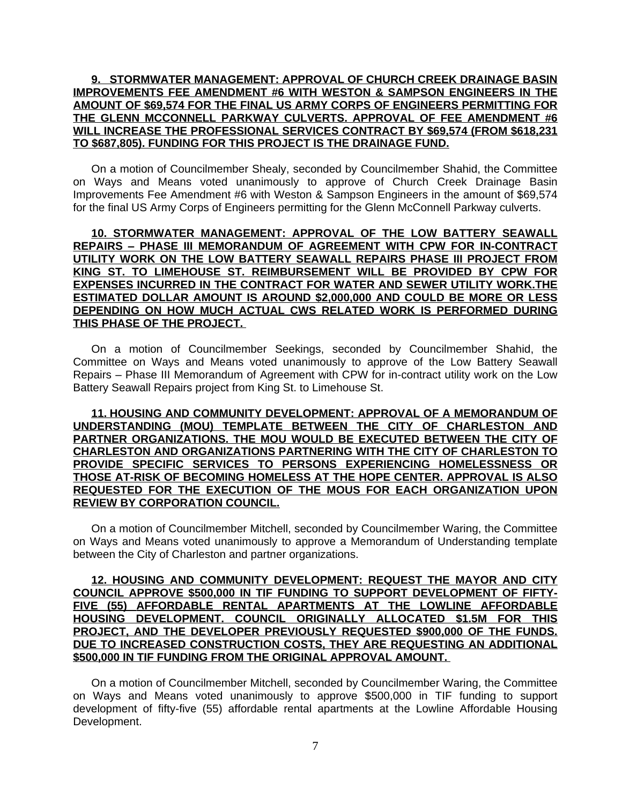### **9. STORMWATER MANAGEMENT: APPROVAL OF CHURCH CREEK DRAINAGE BASIN IMPROVEMENTS FEE AMENDMENT #6 WITH WESTON & SAMPSON ENGINEERS IN THE AMOUNT OF \$69,574 FOR THE FINAL US ARMY CORPS OF ENGINEERS PERMITTING FOR THE GLENN MCCONNELL PARKWAY CULVERTS. APPROVAL OF FEE AMENDMENT #6 WILL INCREASE THE PROFESSIONAL SERVICES CONTRACT BY \$69,574 (FROM \$618,231 TO \$687,805). FUNDING FOR THIS PROJECT IS THE DRAINAGE FUND.**

On a motion of Councilmember Shealy, seconded by Councilmember Shahid, the Committee on Ways and Means voted unanimously to approve of Church Creek Drainage Basin Improvements Fee Amendment #6 with Weston & Sampson Engineers in the amount of \$69,574 for the final US Army Corps of Engineers permitting for the Glenn McConnell Parkway culverts.

**10. STORMWATER MANAGEMENT: APPROVAL OF THE LOW BATTERY SEAWALL REPAIRS – PHASE III MEMORANDUM OF AGREEMENT WITH CPW FOR IN-CONTRACT UTILITY WORK ON THE LOW BATTERY SEAWALL REPAIRS PHASE III PROJECT FROM KING ST. TO LIMEHOUSE ST. REIMBURSEMENT WILL BE PROVIDED BY CPW FOR EXPENSES INCURRED IN THE CONTRACT FOR WATER AND SEWER UTILITY WORK.THE ESTIMATED DOLLAR AMOUNT IS AROUND \$2,000,000 AND COULD BE MORE OR LESS DEPENDING ON HOW MUCH ACTUAL CWS RELATED WORK IS PERFORMED DURING THIS PHASE OF THE PROJECT.** 

On a motion of Councilmember Seekings, seconded by Councilmember Shahid, the Committee on Ways and Means voted unanimously to approve of the Low Battery Seawall Repairs – Phase III Memorandum of Agreement with CPW for in-contract utility work on the Low Battery Seawall Repairs project from King St. to Limehouse St.

**11. HOUSING AND COMMUNITY DEVELOPMENT: APPROVAL OF A MEMORANDUM OF UNDERSTANDING (MOU) TEMPLATE BETWEEN THE CITY OF CHARLESTON AND PARTNER ORGANIZATIONS. THE MOU WOULD BE EXECUTED BETWEEN THE CITY OF CHARLESTON AND ORGANIZATIONS PARTNERING WITH THE CITY OF CHARLESTON TO PROVIDE SPECIFIC SERVICES TO PERSONS EXPERIENCING HOMELESSNESS OR THOSE AT-RISK OF BECOMING HOMELESS AT THE HOPE CENTER. APPROVAL IS ALSO REQUESTED FOR THE EXECUTION OF THE MOUS FOR EACH ORGANIZATION UPON REVIEW BY CORPORATION COUNCIL.**

On a motion of Councilmember Mitchell, seconded by Councilmember Waring, the Committee on Ways and Means voted unanimously to approve a Memorandum of Understanding template between the City of Charleston and partner organizations.

## **12. HOUSING AND COMMUNITY DEVELOPMENT: REQUEST THE MAYOR AND CITY COUNCIL APPROVE \$500,000 IN TIF FUNDING TO SUPPORT DEVELOPMENT OF FIFTY-FIVE (55) AFFORDABLE RENTAL APARTMENTS AT THE LOWLINE AFFORDABLE HOUSING DEVELOPMENT. COUNCIL ORIGINALLY ALLOCATED \$1.5M FOR THIS PROJECT, AND THE DEVELOPER PREVIOUSLY REQUESTED \$900,000 OF THE FUNDS. DUE TO INCREASED CONSTRUCTION COSTS, THEY ARE REQUESTING AN ADDITIONAL \$500,000 IN TIF FUNDING FROM THE ORIGINAL APPROVAL AMOUNT.**

On a motion of Councilmember Mitchell, seconded by Councilmember Waring, the Committee on Ways and Means voted unanimously to approve \$500,000 in TIF funding to support development of fifty-five (55) affordable rental apartments at the Lowline Affordable Housing Development.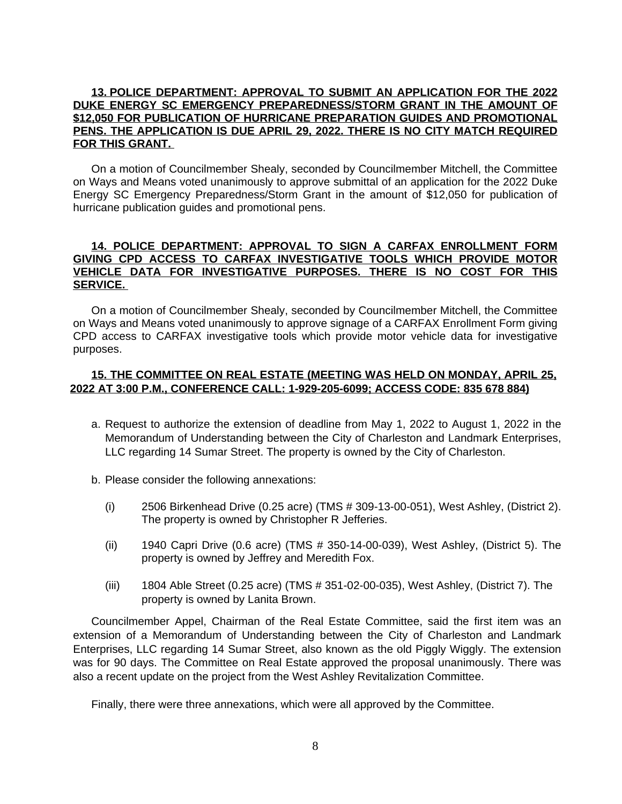### **13. POLICE DEPARTMENT: APPROVAL TO SUBMIT AN APPLICATION FOR THE 2022 DUKE ENERGY SC EMERGENCY PREPAREDNESS/STORM GRANT IN THE AMOUNT OF \$12,050 FOR PUBLICATION OF HURRICANE PREPARATION GUIDES AND PROMOTIONAL PENS. THE APPLICATION IS DUE APRIL 29, 2022. THERE IS NO CITY MATCH REQUIRED FOR THIS GRANT.**

On a motion of Councilmember Shealy, seconded by Councilmember Mitchell, the Committee on Ways and Means voted unanimously to approve submittal of an application for the 2022 Duke Energy SC Emergency Preparedness/Storm Grant in the amount of \$12,050 for publication of hurricane publication guides and promotional pens.

### **14. POLICE DEPARTMENT: APPROVAL TO SIGN A CARFAX ENROLLMENT FORM GIVING CPD ACCESS TO CARFAX INVESTIGATIVE TOOLS WHICH PROVIDE MOTOR VEHICLE DATA FOR INVESTIGATIVE PURPOSES. THERE IS NO COST FOR THIS SERVICE.**

On a motion of Councilmember Shealy, seconded by Councilmember Mitchell, the Committee on Ways and Means voted unanimously to approve signage of a CARFAX Enrollment Form giving CPD access to CARFAX investigative tools which provide motor vehicle data for investigative purposes.

# **15. THE COMMITTEE ON REAL ESTATE (MEETING WAS HELD ON MONDAY, APRIL 25, 2022 AT 3:00 P.M., CONFERENCE CALL: 1-929-205-6099; ACCESS CODE: 835 678 884)**

- a. Request to authorize the extension of deadline from May 1, 2022 to August 1, 2022 in the Memorandum of Understanding between the City of Charleston and Landmark Enterprises, LLC regarding 14 Sumar Street. The property is owned by the City of Charleston.
- b. Please consider the following annexations:
	- (i) 2506 Birkenhead Drive (0.25 acre) (TMS # 309-13-00-051), West Ashley, (District 2). The property is owned by Christopher R Jefferies.
	- (ii) 1940 Capri Drive (0.6 acre) (TMS # 350-14-00-039), West Ashley, (District 5). The property is owned by Jeffrey and Meredith Fox.
	- (iii) 1804 Able Street (0.25 acre) (TMS # 351-02-00-035), West Ashley, (District 7). The property is owned by Lanita Brown.

Councilmember Appel, Chairman of the Real Estate Committee, said the first item was an extension of a Memorandum of Understanding between the City of Charleston and Landmark Enterprises, LLC regarding 14 Sumar Street, also known as the old Piggly Wiggly. The extension was for 90 days. The Committee on Real Estate approved the proposal unanimously. There was also a recent update on the project from the West Ashley Revitalization Committee.

Finally, there were three annexations, which were all approved by the Committee.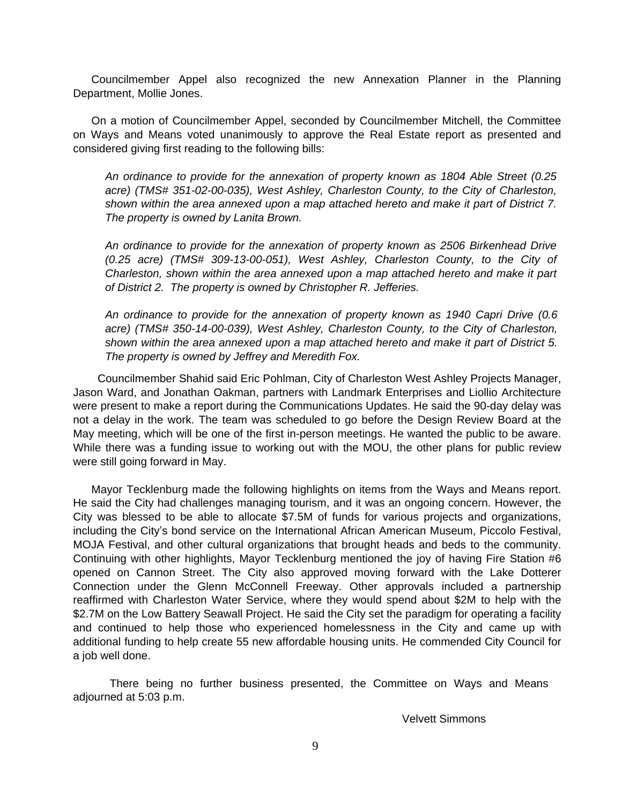Councilmember Appel also recognized the new Annexation Planner in the Planning Department, Mollie Jones.

On a motion of Councilmember Appel, seconded by Councilmember Mitchell, the Committee on Ways and Means voted unanimously to approve the Real Estate report as presented and considered giving first reading to the following bills:

*An ordinance to provide for the annexation of property known as 1804 Able Street (0.25 acre) (TMS# 351-02-00-035), West Ashley, Charleston County, to the City of Charleston, shown within the area annexed upon a map attached hereto and make it part of District 7. The property is owned by Lanita Brown.*

*An ordinance to provide for the annexation of property known as 2506 Birkenhead Drive (0.25 acre) (TMS# 309-13-00-051), West Ashley, Charleston County, to the City of Charleston, shown within the area annexed upon a map attached hereto and make it part of District 2. The property is owned by Christopher R. Jefferies.*

*An ordinance to provide for the annexation of property known as 1940 Capri Drive (0.6 acre) (TMS# 350-14-00-039), West Ashley, Charleston County, to the City of Charleston, shown within the area annexed upon a map attached hereto and make it part of District 5. The property is owned by Jeffrey and Meredith Fox.*

Councilmember Shahid said Eric Pohlman, City of Charleston West Ashley Projects Manager, Jason Ward, and Jonathan Oakman, partners with Landmark Enterprises and Liollio Architecture were present to make a report during the Communications Updates. He said the 90-day delay was not a delay in the work. The team was scheduled to go before the Design Review Board at the May meeting, which will be one of the first in-person meetings. He wanted the public to be aware. While there was a funding issue to working out with the MOU, the other plans for public review were still going forward in May.

Mayor Tecklenburg made the following highlights on items from the Ways and Means report. He said the City had challenges managing tourism, and it was an ongoing concern. However, the City was blessed to be able to allocate \$7.5M of funds for various projects and organizations, including the City's bond service on the International African American Museum, Piccolo Festival, MOJA Festival, and other cultural organizations that brought heads and beds to the community. Continuing with other highlights, Mayor Tecklenburg mentioned the joy of having Fire Station #6 opened on Cannon Street. The City also approved moving forward with the Lake Dotterer Connection under the Glenn McConnell Freeway. Other approvals included a partnership reaffirmed with Charleston Water Service, where they would spend about \$2M to help with the \$2.7M on the Low Battery Seawall Project. He said the City set the paradigm for operating a facility and continued to help those who experienced homelessness in the City and came up with additional funding to help create 55 new affordable housing units. He commended City Council for a job well done.

There being no further business presented, the Committee on Ways and Means adjourned at 5:03 p.m.

Velvett Simmons